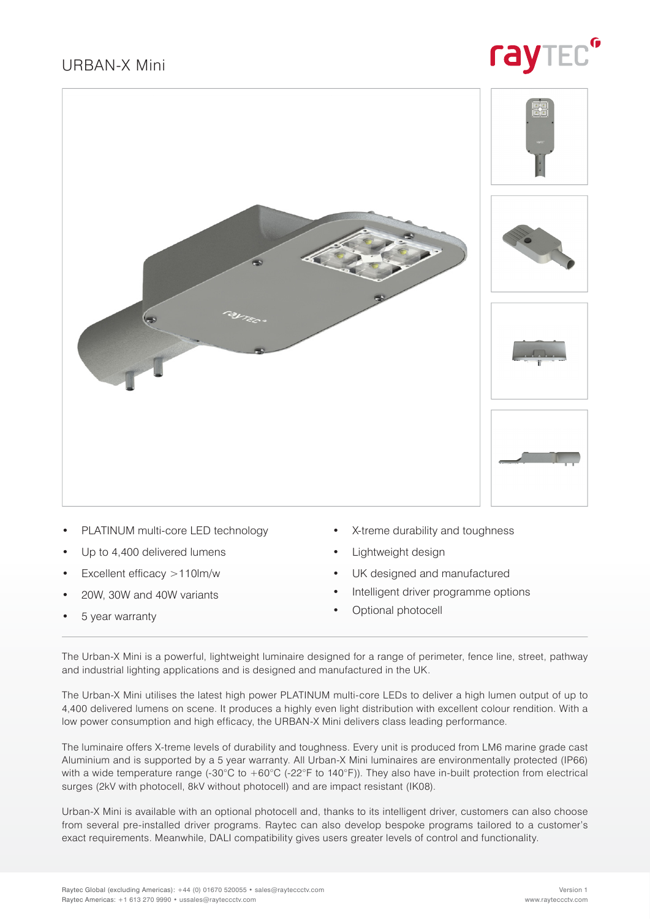### URBAN-X Mini





- PLATINUM multi-core LED technology
- Up to 4,400 delivered lumens
- Excellent efficacy >110lm/w
- 20W, 30W and 40W variants
- 5 year warranty
- X-treme durability and toughness
- Lightweight design
- UK designed and manufactured
- Intelligent driver programme options
- Optional photocell

The Urban-X Mini is a powerful, lightweight luminaire designed for a range of perimeter, fence line, street, pathway and industrial lighting applications and is designed and manufactured in the UK.

The Urban-X Mini utilises the latest high power PLATINUM multi-core LEDs to deliver a high lumen output of up to 4,400 delivered lumens on scene. It produces a highly even light distribution with excellent colour rendition. With a low power consumption and high efficacy, the URBAN-X Mini delivers class leading performance.

The luminaire offers X-treme levels of durability and toughness. Every unit is produced from LM6 marine grade cast Aluminium and is supported by a 5 year warranty. All Urban-X Mini luminaires are environmentally protected (IP66) with a wide temperature range (-30°C to +60°C (-22°F to 140°F)). They also have in-built protection from electrical surges (2kV with photocell, 8kV without photocell) and are impact resistant (IK08).

Urban-X Mini is available with an optional photocell and, thanks to its intelligent driver, customers can also choose from several pre-installed driver programs. Raytec can also develop bespoke programs tailored to a customer's exact requirements. Meanwhile, DALI compatibility gives users greater levels of control and functionality.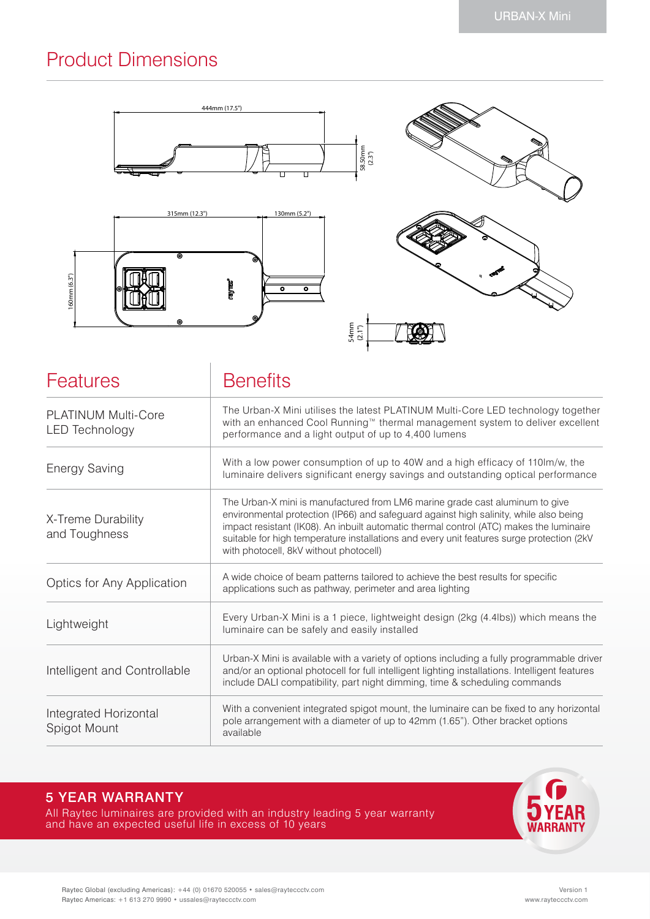## Product Dimensions



| <b>Features</b>                                     | <b>Benefits</b>                                                                                                                                                                                                                                                                                                                                                                                         |  |  |  |
|-----------------------------------------------------|---------------------------------------------------------------------------------------------------------------------------------------------------------------------------------------------------------------------------------------------------------------------------------------------------------------------------------------------------------------------------------------------------------|--|--|--|
| <b>PLATINUM Multi-Core</b><br><b>LED Technology</b> | The Urban-X Mini utilises the latest PLATINUM Multi-Core LED technology together<br>with an enhanced Cool Running™ thermal management system to deliver excellent<br>performance and a light output of up to 4,400 lumens                                                                                                                                                                               |  |  |  |
| <b>Energy Saving</b>                                | With a low power consumption of up to 40W and a high efficacy of 110lm/w, the<br>luminaire delivers significant energy savings and outstanding optical performance                                                                                                                                                                                                                                      |  |  |  |
| X-Treme Durability<br>and Toughness                 | The Urban-X mini is manufactured from LM6 marine grade cast aluminum to give<br>environmental protection (IP66) and safeguard against high salinity, while also being<br>impact resistant (IK08). An inbuilt automatic thermal control (ATC) makes the luminaire<br>suitable for high temperature installations and every unit features surge protection (2kV<br>with photocell, 8kV without photocell) |  |  |  |
| Optics for Any Application                          | A wide choice of beam patterns tailored to achieve the best results for specific<br>applications such as pathway, perimeter and area lighting                                                                                                                                                                                                                                                           |  |  |  |
| Lightweight                                         | Every Urban-X Mini is a 1 piece, lightweight design (2kg (4.4lbs)) which means the<br>luminaire can be safely and easily installed                                                                                                                                                                                                                                                                      |  |  |  |
| Intelligent and Controllable                        | Urban-X Mini is available with a variety of options including a fully programmable driver<br>and/or an optional photocell for full intelligent lighting installations. Intelligent features<br>include DALI compatibility, part night dimming, time & scheduling commands                                                                                                                               |  |  |  |
| Integrated Horizontal<br>Spigot Mount               | With a convenient integrated spigot mount, the luminaire can be fixed to any horizontal<br>pole arrangement with a diameter of up to 42mm (1.65"). Other bracket options<br>available                                                                                                                                                                                                                   |  |  |  |

### 5 YEAR WARRANTY

All Raytec luminaires are provided with an industry leading 5 year warranty and have an expected useful life in excess of 10 years

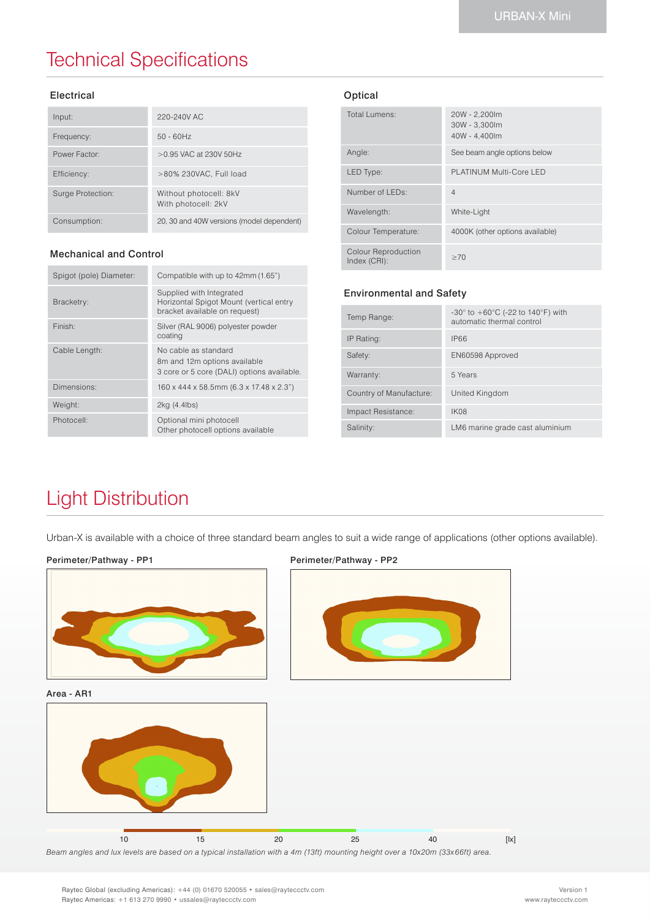## Technical Specifications

#### Electrical

| Input:            | 220-240V AC                                   |
|-------------------|-----------------------------------------------|
| Frequency:        | $50 - 60$ Hz                                  |
| Power Factor:     | $>0.95$ VAC at 230V 50Hz                      |
| Efficiency:       | >80% 230VAC, Full load                        |
| Surge Protection: | Without photocell: 8kV<br>With photocell: 2kV |
| Consumption:      | 20, 30 and 40W versions (model dependent)     |

#### Mechanical and Control

| Spigot (pole) Diameter: | Compatible with up to 42mm (1.65")                                                                   |
|-------------------------|------------------------------------------------------------------------------------------------------|
| Bracketry:              | Supplied with Integrated<br>Horizontal Spigot Mount (vertical entry<br>bracket available on request) |
| Finish:                 | Silver (RAL 9006) polyester powder<br>coating                                                        |
| Cable Length:           | No cable as standard<br>8m and 12m options available<br>3 core or 5 core (DALI) options available.   |
| Dimensions:             | 160 x 444 x 58.5mm (6.3 x 17.48 x 2.3")                                                              |
| Weight:                 | 2kg (4.4lbs)                                                                                         |
| Photocell:              | Optional mini photocell<br>Other photocell options available                                         |

#### Optical

| Total Lumens:                       | 20W - 2,200lm<br>30W - 3,300lm<br>40W - 4.400lm |
|-------------------------------------|-------------------------------------------------|
| Angle:                              | See beam angle options below                    |
| LED Type:                           | PLATINUM Multi-Core LED                         |
| Number of LEDs:                     | $\overline{4}$                                  |
| Wavelength:                         | White-Light                                     |
| Colour Temperature:                 | 4000K (other options available)                 |
| Colour Reproduction<br>Index (CRI): | >70                                             |

#### Environmental and Safety

| Temp Range:             | -30 $^{\circ}$ to +60 $^{\circ}$ C (-22 to 140 $^{\circ}$ F) with<br>automatic thermal control |
|-------------------------|------------------------------------------------------------------------------------------------|
| IP Rating:              | <b>IP66</b>                                                                                    |
| Safety:                 | EN60598 Approved                                                                               |
| Warranty:               | 5 Years                                                                                        |
| Country of Manufacture: | United Kingdom                                                                                 |
| Impact Resistance:      | IK08                                                                                           |
| Salinity:               | LM6 marine grade cast aluminium                                                                |

## Light Distribution

Urban-X is available with a choice of three standard beam angles to suit a wide range of applications (other options available).

#### Perimeter/Pathway - PP1



Area - AR1



#### Perimeter/Pathway - PP2



*Beam angles and lux levels are based on a typical installation with a 4m (13ft) mounting height over a 10x20m (33x66ft) area.* 10 15 20 25 40 [lx]

Raytec Global (excluding Americas): +44 (0) 01670 520055 • sales@rayteccctv.com Raytec Americas: +1 613 270 9990 • ussales@rayteccctv.com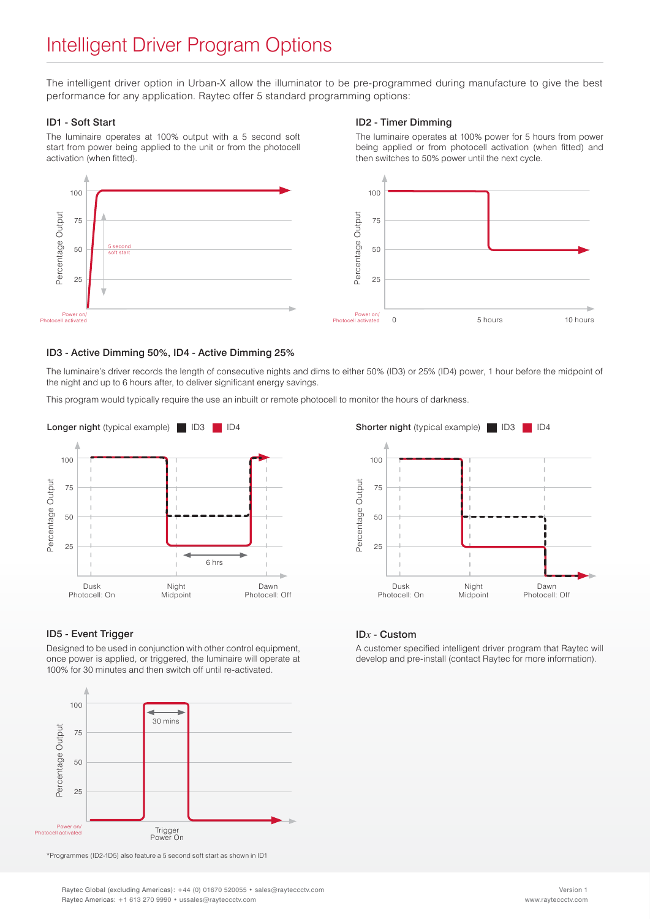### Intelligent Driver Program Options

The intelligent driver option in Urban-X allow the illuminator to be pre-programmed during manufacture to give the best performance for any application. Raytec offer 5 standard programming options:

#### ID1 - Soft Start

The luminaire operates at 100% output with a 5 second soft start from power being applied to the unit or from the photocell activation (when fitted).

#### ID2 - Timer Dimming

The luminaire operates at 100% power for 5 hours from power being applied or from photocell activation (when fitted) and then switches to 50% power until the next cycle.



#### ID3 - Active Dimming 50%, ID4 - Active Dimming 25%

The luminaire's driver records the length of consecutive nights and dims to either 50% (ID3) or 25% (ID4) power, 1 hour before the midpoint of the night and up to 6 hours after, to deliver significant energy savings.

This program would typically require the use an inbuilt or remote photocell to monitor the hours of darkness.



#### ID5 - Event Trigger

Designed to be used in conjunction with other control equipment, once power is applied, or triggered, the luminaire will operate at 100% for 30 minutes and then switch off until re-activated.



\*Programmes (ID2-1D5) also feature a 5 second soft start as shown in ID1

100 Percentage Output Percentage Output75 50 25 Dusk Night Dawn Photocell: On Midpoint Photocell: Off

#### ID*x* - Custom

A customer specified intelligent driver program that Raytec will develop and pre-install (contact Raytec for more information).